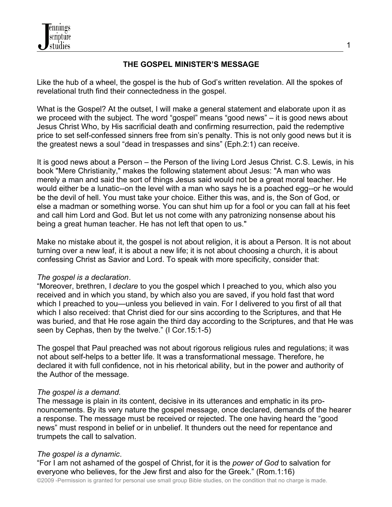

## **THE GOSPEL MINISTER'S MESSAGE**

Like the hub of a wheel, the gospel is the hub of God's written revelation. All the spokes of revelational truth find their connectedness in the gospel.

What is the Gospel? At the outset, I will make a general statement and elaborate upon it as we proceed with the subject. The word "gospel" means "good news" – it is good news about Jesus Christ Who, by His sacrificial death and confirming resurrection, paid the redemptive price to set self-confessed sinners free from sin's penalty. This is not only good news but it is the greatest news a soul "dead in trespasses and sins" (Eph.2:1) can receive.

It is good news about a Person – the Person of the living Lord Jesus Christ. C.S. Lewis, in his book "Mere Christianity," makes the following statement about Jesus: "A man who was merely a man and said the sort of things Jesus said would not be a great moral teacher. He would either be a lunatic--on the level with a man who says he is a poached egg--or he would be the devil of hell. You must take your choice. Either this was, and is, the Son of God, or else a madman or something worse. You can shut him up for a fool or you can fall at his feet and call him Lord and God. But let us not come with any patronizing nonsense about his being a great human teacher. He has not left that open to us."

Make no mistake about it, the gospel is not about religion, it is about a Person. It is not about turning over a new leaf, it is about a new life; it is not about choosing a church, it is about confessing Christ as Savior and Lord. To speak with more specificity, consider that:

### *The gospel is a declaration*.

"Moreover, brethren, I *declare* to you the gospel which I preached to you, which also you received and in which you stand, by which also you are saved, if you hold fast that word which I preached to you—unless you believed in vain. For I delivered to you first of all that which I also received: that Christ died for our sins according to the Scriptures, and that He was buried, and that He rose again the third day according to the Scriptures, and that He was seen by Cephas, then by the twelve." (I Cor.15:1-5)

The gospel that Paul preached was not about rigorous religious rules and regulations; it was not about self-helps to a better life. It was a transformational message. Therefore, he declared it with full confidence, not in his rhetorical ability, but in the power and authority of the Author of the message.

### *The gospel is a demand.*

The message is plain in its content, decisive in its utterances and emphatic in its pronouncements. By its very nature the gospel message, once declared, demands of the hearer a response. The message must be received or rejected. The one having heard the "good news" must respond in belief or in unbelief. It thunders out the need for repentance and trumpets the call to salvation.

### *The gospel is a dynamic*.

"For I am not ashamed of the gospel of Christ, for it is the *power of God* to salvation for everyone who believes, for the Jew first and also for the Greek." (Rom.1:16)

©2009 -Permission is granted for personal use small group Bible studies, on the condition that no charge is made.

1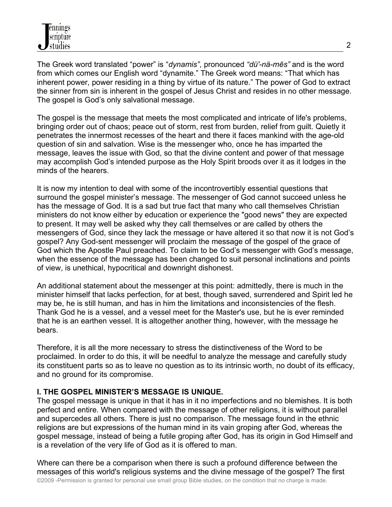The Greek word translated "power" is "*dynamis"*, pronounced *"dü'-nä-mēs"* and is the word from which comes our English word "dynamite." The Greek word means: "That which has inherent power, power residing in a thing by virtue of its nature." The power of God to extract the sinner from sin is inherent in the gospel of Jesus Christ and resides in no other message. The gospel is God's only salvational message.

The gospel is the message that meets the most complicated and intricate of life's problems, bringing order out of chaos; peace out of storm, rest from burden, relief from guilt. Quietly it penetrates the innermost recesses of the heart and there it faces mankind with the age-old question of sin and salvation. Wise is the messenger who, once he has imparted the message, leaves the issue with God, so that the divine content and power of that message may accomplish God's intended purpose as the Holy Spirit broods over it as it lodges in the minds of the hearers.

It is now my intention to deal with some of the incontrovertibly essential questions that surround the gospel minister's message. The messenger of God cannot succeed unless he has the message of God. It is a sad but true fact that many who call themselves Christian ministers do not know either by education or experience the "good news" they are expected to present. It may well be asked why they call themselves or are called by others the messengers of God, since they lack the message or have altered it so that now it is not God's gospel? Any God-sent messenger will proclaim the message of the gospel of the grace of God which the Apostle Paul preached. To claim to be God's messenger with God's message, when the essence of the message has been changed to suit personal inclinations and points of view, is unethical, hypocritical and downright dishonest.

An additional statement about the messenger at this point: admittedly, there is much in the minister himself that lacks perfection, for at best, though saved, surrendered and Spirit led he may be, he is still human, and has in him the limitations and inconsistencies of the flesh. Thank God he is a vessel, and a vessel meet for the Master's use, but he is ever reminded that he is an earthen vessel. It is altogether another thing, however, with the message he bears.

Therefore, it is all the more necessary to stress the distinctiveness of the Word to be proclaimed. In order to do this, it will be needful to analyze the message and carefully study its constituent parts so as to leave no question as to its intrinsic worth, no doubt of its efficacy, and no ground for its compromise.

# **I. THE GOSPEL MINISTER'S MESSAGE IS UNIQUE.**

The gospel message is unique in that it has in it no imperfections and no blemishes. It is both perfect and entire. When compared with the message of other religions, it is without parallel and supercedes all others. There is just no comparison. The message found in the ethnic religions are but expressions of the human mind in its vain groping after God, whereas the gospel message, instead of being a futile groping after God, has its origin in God Himself and is a revelation of the very life of God as it is offered to man.

Where can there be a comparison when there is such a profound difference between the messages of this world's religious systems and the divine message of the gospel? The first ©2009 -Permission is granted for personal use small group Bible studies, on the condition that no charge is made.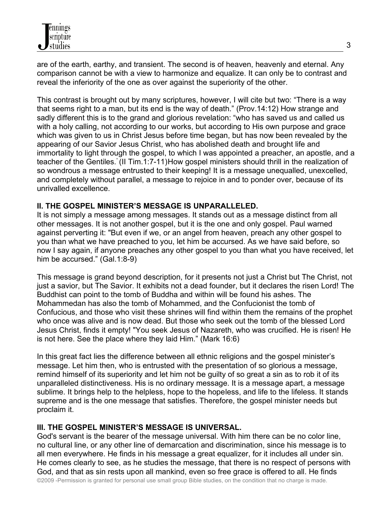are of the earth, earthy, and transient. The second is of heaven, heavenly and eternal. Any comparison cannot be with a view to harmonize and equalize. It can only be to contrast and reveal the inferiority of the one as over against the superiority of the other.

This contrast is brought out by many scriptures, however, I will cite but two: "There is a way that seems right to a man, but its end is the way of death." (Prov.14:12) How strange and sadly different this is to the grand and glorious revelation: "who has saved us and called us with a holy calling, not according to our works, but according to His own purpose and grace which was given to us in Christ Jesus before time began, but has now been revealed by the appearing of our Savior Jesus Christ, who has abolished death and brought life and immortality to light through the gospel, to which I was appointed a preacher, an apostle, and a teacher of the Gentiles." (II Tim.1:7-11)How gospel ministers should thrill in the realization of so wondrous a message entrusted to their keeping! It is a message unequalled, unexcelled, and completely without parallel, a message to rejoice in and to ponder over, because of its unrivalled excellence.

## **II. THE GOSPEL MINISTER'S MESSAGE IS UNPARALLELED.**

It is not simply a message among messages. It stands out as a message distinct from all other messages. It is not another gospel, but it is the one and only gospel. Paul warned against perverting it: "But even if we, or an angel from heaven, preach any other gospel to you than what we have preached to you, let him be accursed. As we have said before, so now I say again, if anyone preaches any other gospel to you than what you have received, let him be accursed." (Gal.1:8-9)

This message is grand beyond description, for it presents not just a Christ but The Christ, not just a savior, but The Savior. It exhibits not a dead founder, but it declares the risen Lord! The Buddhist can point to the tomb of Buddha and within will be found his ashes. The Mohammedan has also the tomb of Mohammed, and the Confucionist the tomb of Confucious, and those who visit these shrines will find within them the remains of the prophet who once was alive and is now dead. But those who seek out the tomb of the blessed Lord Jesus Christ, finds it empty! "You seek Jesus of Nazareth, who was crucified. He is risen! He is not here. See the place where they laid Him." (Mark 16:6)

In this great fact lies the difference between all ethnic religions and the gospel minister's message. Let him then, who is entrusted with the presentation of so glorious a message, remind himself of its superiority and let him not be guilty of so great a sin as to rob it of its unparalleled distinctiveness. His is no ordinary message. It is a message apart, a message sublime. It brings help to the helpless, hope to the hopeless, and life to the lifeless. It stands supreme and is the one message that satisfies. Therefore, the gospel minister needs but proclaim it.

# **III. THE GOSPEL MINISTER'S MESSAGE IS UNIVERSAL.**

God's servant is the bearer of the message universal. With him there can be no color line, no cultural line, or any other line of demarcation and discrimination, since his message is to all men everywhere. He finds in his message a great equalizer, for it includes all under sin. He comes clearly to see, as he studies the message, that there is no respect of persons with God, and that as sin rests upon all mankind, even so free grace is offered to all. He finds

©2009 -Permission is granted for personal use small group Bible studies, on the condition that no charge is made.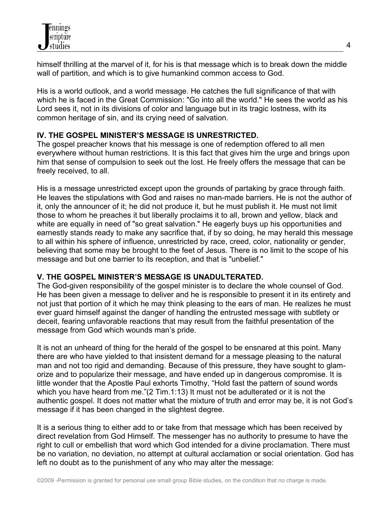himself thrilling at the marvel of it, for his is that message which is to break down the middle wall of partition, and which is to give humankind common access to God.

His is a world outlook, and a world message. He catches the full significance of that with which he is faced in the Great Commission: "Go into all the world." He sees the world as his Lord sees it, not in its divisions of color and language but in its tragic lostness, with its common heritage of sin, and its crying need of salvation.

# **IV. THE GOSPEL MINISTER'S MESSAGE IS UNRESTRICTED.**

The gospel preacher knows that his message is one of redemption offered to all men everywhere without human restrictions. It is this fact that gives him the urge and brings upon him that sense of compulsion to seek out the lost. He freely offers the message that can be freely received, to all.

His is a message unrestricted except upon the grounds of partaking by grace through faith. He leaves the stipulations with God and raises no man-made barriers. He is not the author of it, only the announcer of it; he did not produce it, but he must publish it. He must not limit those to whom he preaches it but liberally proclaims it to all, brown and yellow, black and white are equally in need of "so great salvation." He eagerly buys up his opportunities and earnestly stands ready to make any sacrifice that, if by so doing, he may herald this message to all within his sphere of influence, unrestricted by race, creed, color, nationality or gender, believing that some may be brought to the feet of Jesus. There is no limit to the scope of his message and but one barrier to its reception, and that is "unbelief."

# **V. THE GOSPEL MINISTER'S MESSAGE IS UNADULTERATED.**

The God-given responsibility of the gospel minister is to declare the whole counsel of God. He has been given a message to deliver and he is responsible to present it in its entirety and not just that portion of it which he may think pleasing to the ears of man. He realizes he must ever guard himself against the danger of handling the entrusted message with subtlety or deceit, fearing unfavorable reactions that may result from the faithful presentation of the message from God which wounds man's pride.

It is not an unheard of thing for the herald of the gospel to be ensnared at this point. Many there are who have yielded to that insistent demand for a message pleasing to the natural man and not too rigid and demanding. Because of this pressure, they have sought to glamorize and to popularize their message, and have ended up in dangerous compromise. It is little wonder that the Apostle Paul exhorts Timothy, "Hold fast the pattern of sound words which you have heard from me."(2 Tim.1:13) It must not be adulterated or it is not the authentic gospel. It does not matter what the mixture of truth and error may be, it is not God's message if it has been changed in the slightest degree.

It is a serious thing to either add to or take from that message which has been received by direct revelation from God Himself. The messenger has no authority to presume to have the right to cull or embellish that word which God intended for a divine proclamation. There must be no variation, no deviation, no attempt at cultural acclamation or social orientation. God has left no doubt as to the punishment of any who may alter the message: